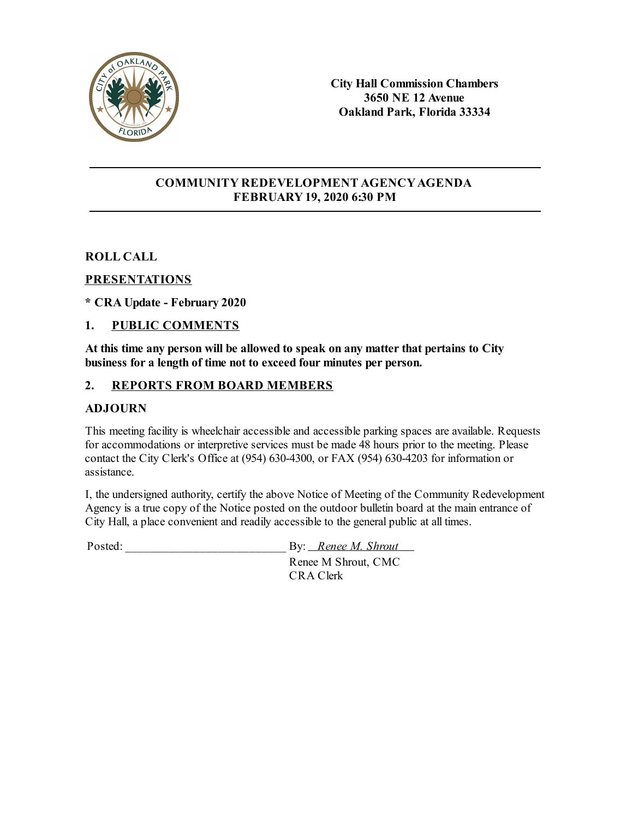

#### **COMMUNITY REDEVELOPMENT AGENCYAGENDA FEBRUARY19, 2020 6:30 PM**

**ROLL CALL**

#### **PRESENTATIONS**

**\* CRA Update - February 2020**

#### **1. PUBLIC COMMENTS**

**At this time any person will be allowed to speak on any matterthat pertains to City business for a length of time not to exceed four minutes per person.**

#### **2. REPORTS FROM BOARD MEMBERS**

#### **ADJOURN**

This meeting facility is wheelchair accessible and accessible parking spaces are available. Requests for accommodations or interpretive services must be made 48 hours prior to the meeting. Please contact the City Clerk's Office at (954) 630-4300, or FAX (954) 630-4203 for information or assistance.

I, the undersigned authority, certify the above Notice of Meeting of the Community Redevelopment Agency is a true copy of the Notice posted on the outdoor bulletin board at the main entrance of City Hall, a place convenient and readily accessible to the general public at all times.

Posted: By: <u>*Renee M. Shrout*</u>

Renee M Shrout, CMC CRA Clerk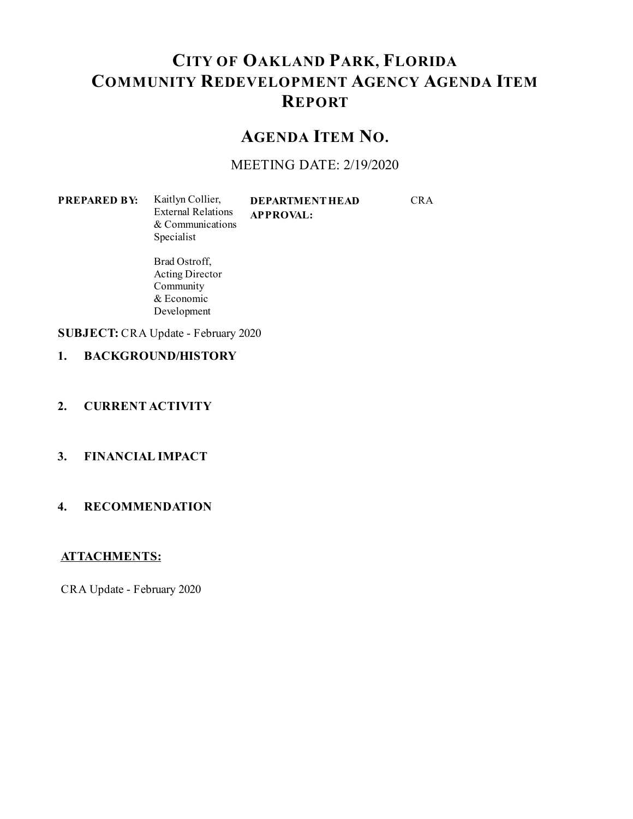### **CITY OF OAKLAND PARK, FLORIDA COMMUNITY REDEVELOPMENT AGENCY AGENDA ITEM REPORT**

### **AGENDA ITEM NO.**

#### MEETING DATE: 2/19/2020

**PREPARED BY:** Kaitlyn Collier, External Relations & Communications Specialist

**DEPARTMENTHEAD APPROVAL:**

CRA

Brad Ostroff, Acting Director Community & Economic Development

**SUBJECT:** CRA Update - February 2020

- **1. BACKGROUND/HISTORY**
- **2. CURRENT ACTIVITY**
- **3. FINANCIAL IMPACT**

#### **4. RECOMMENDATION**

#### **ATTACHMENTS:**

CRA Update - February 2020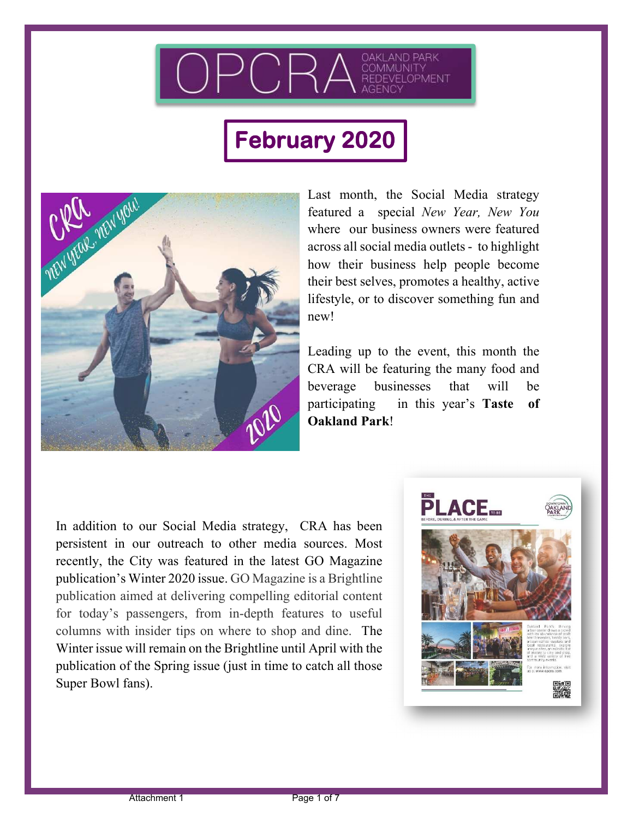

# **February 2020**



Last month, the Social Media strategy featured a special *New Year, New You* where our business owners were featured across all social media outlets - to highlight how their business help people become their best selves, promotes a healthy, active lifestyle, or to discover something fun and new!

Leading up to the event, this month the CRA will be featuring the many food and beverage businesses that will be participating in this year's **Taste of Oakland Park**!

In addition to our Social Media strategy, CRA has been persistent in our outreach to other media sources. Most recently, the City was featured in the latest GO Magazine publication's Winter 2020 issue. GO Magazine is a Brightline publication aimed at delivering compelling editorial content for today's passengers, from in-depth features to useful columns with insider tips on where to shop and dine. The Winter issue will remain on the Brightline until April with the publication of the Spring issue (just in time to catch all those Super Bowl fans).

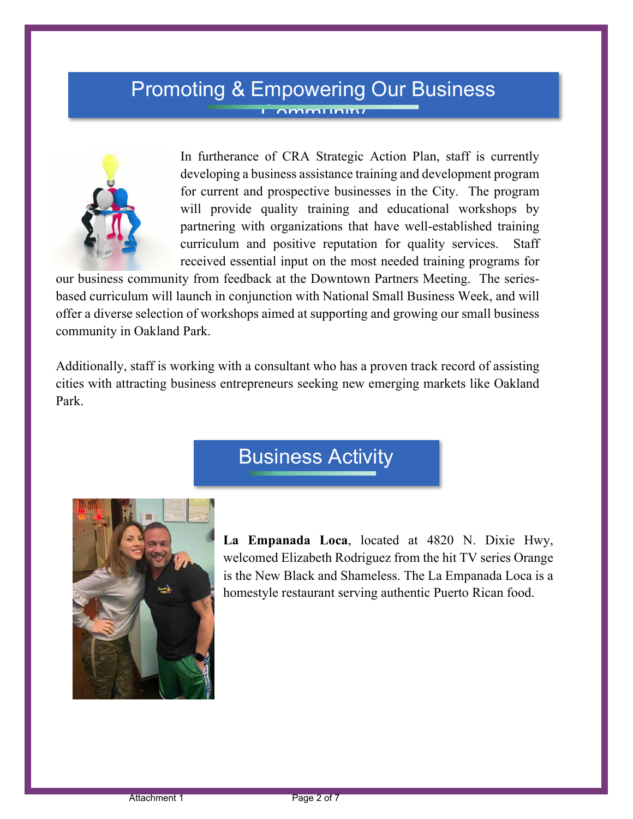### Promoting & Empowering Our Business

Community



In furtherance of CRA Strategic Action Plan, staff is currently developing a business assistance training and development program for current and prospective businesses in the City. The program will provide quality training and educational workshops by partnering with organizations that have well-established training curriculum and positive reputation for quality services. Staff received essential input on the most needed training programs for

our business community from feedback at the Downtown Partners Meeting. The seriesbased curriculum will launch in conjunction with National Small Business Week, and will offer a diverse selection of workshops aimed at supporting and growing our small business community in Oakland Park.

Additionally, staff is working with a consultant who has a proven track record of assisting cities with attracting business entrepreneurs seeking new emerging markets like Oakland Park.

# Business Activity



**La Empanada Loca**, located at 4820 N. Dixie Hwy, welcomed Elizabeth Rodriguez from the hit TV series Orange is the New Black and Shameless. The La Empanada Loca is a homestyle restaurant serving authentic Puerto Rican food.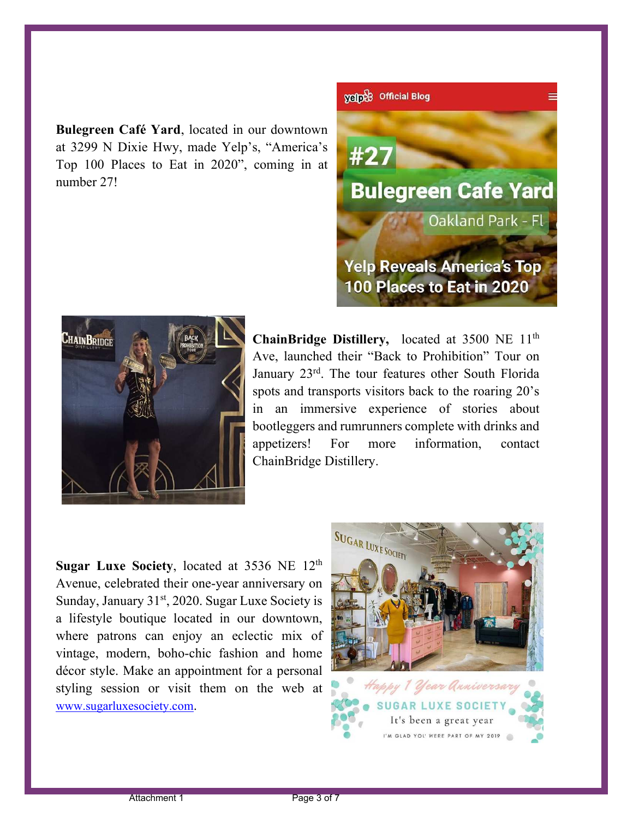**Bulegreen Café Yard**, located in our downtown at 3299 N Dixie Hwy, made Yelp's, "America's Top 100 Places to Eat in 2020", coming in at number 27!





ChainBridge Distillery, located at 3500 NE 11<sup>th</sup> Ave, launched their "Back to Prohibition" Tour on January 23rd. The tour features other South Florida spots and transports visitors back to the roaring 20's in an immersive experience of stories about bootleggers and rumrunners complete with drinks and appetizers! For more information, contact ChainBridge Distillery.

**Sugar Luxe Society**, located at 3536 NE 12<sup>th</sup> Avenue, celebrated their one-year anniversary on Sunday, January  $31<sup>st</sup>$ , 2020. Sugar Luxe Society is a lifestyle boutique located in our downtown, where patrons can enjoy an eclectic mix of vintage, modern, boho-chic fashion and home décor style. Make an appointment for a personal styling session or visit them on the web at www.sugarluxesociety.com.

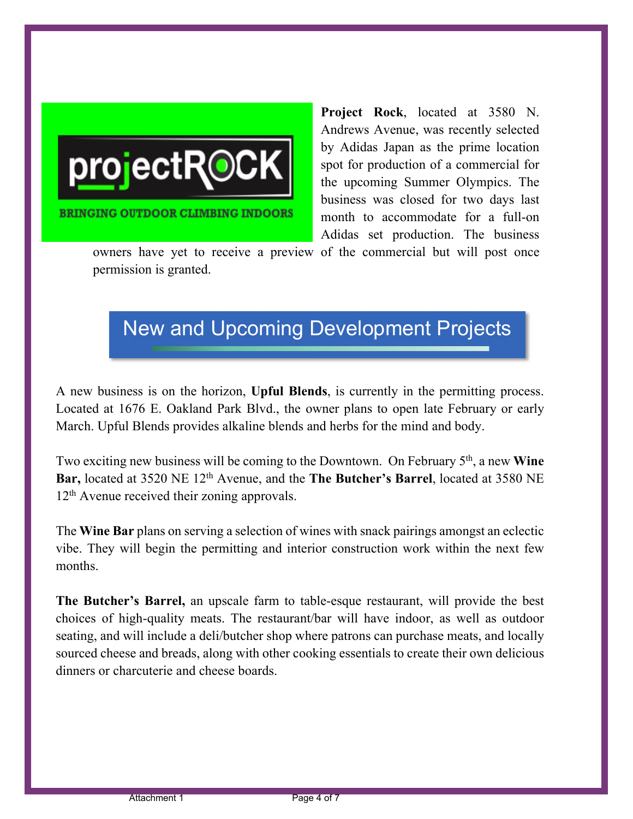

**Project Rock**, located at 3580 N. Andrews Avenue, was recently selected by Adidas Japan as the prime location spot for production of a commercial for the upcoming Summer Olympics. The business was closed for two days last month to accommodate for a full-on Adidas set production. The business

owners have yet to receive a preview of the commercial but will post once permission is granted.

# New and Upcoming Development Projects

A new business is on the horizon, **Upful Blends**, is currently in the permitting process. Located at 1676 E. Oakland Park Blvd., the owner plans to open late February or early March. Upful Blends provides alkaline blends and herbs for the mind and body.

Two exciting new business will be coming to the Downtown. On February 5th, a new **Wine**  Bar, located at 3520 NE 12<sup>th</sup> Avenue, and the The Butcher's Barrel, located at 3580 NE 12<sup>th</sup> Avenue received their zoning approvals.

The **Wine Bar** plans on serving a selection of wines with snack pairings amongst an eclectic vibe. They will begin the permitting and interior construction work within the next few months.

**The Butcher's Barrel,** an upscale farm to table-esque restaurant, will provide the best choices of high-quality meats. The restaurant/bar will have indoor, as well as outdoor seating, and will include a deli/butcher shop where patrons can purchase meats, and locally sourced cheese and breads, along with other cooking essentials to create their own delicious dinners or charcuterie and cheese boards.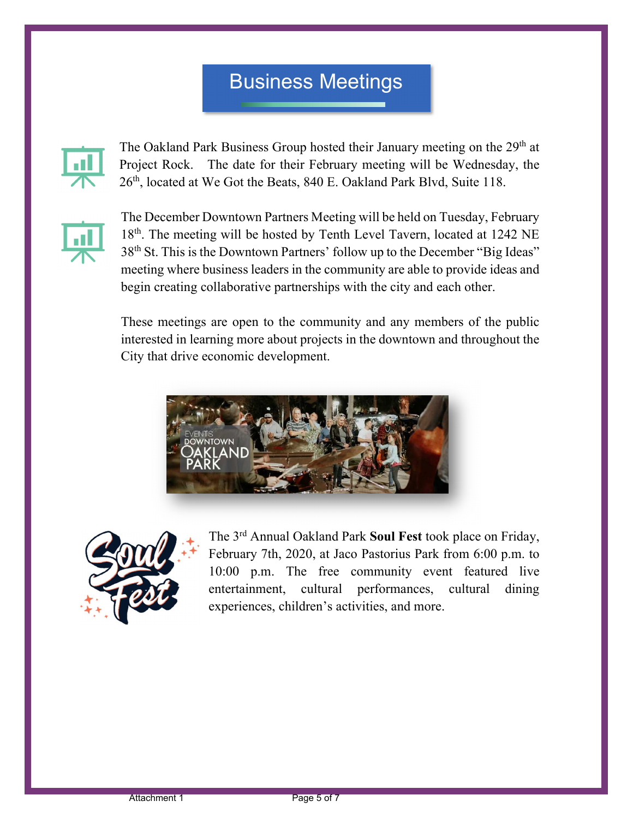### Business Meetings



The Oakland Park Business Group hosted their January meeting on the 29<sup>th</sup> at Project Rock. The date for their February meeting will be Wednesday, the 26th, located at We Got the Beats, 840 E. Oakland Park Blvd, Suite 118.



The December Downtown Partners Meeting will be held on Tuesday, February 18<sup>th</sup>. The meeting will be hosted by Tenth Level Tavern, located at 1242 NE 38th St. This is the Downtown Partners' follow up to the December "Big Ideas" meeting where business leaders in the community are able to provide ideas and begin creating collaborative partnerships with the city and each other.

These meetings are open to the community and any members of the public interested in learning more about projects in the downtown and throughout the City that drive economic development.





The 3rd Annual Oakland Park **Soul Fest** took place on Friday, February 7th, 2020, at Jaco Pastorius Park from 6:00 p.m. to 10:00 p.m. The free community event featured live entertainment, cultural performances, cultural dining experiences, children's activities, and more.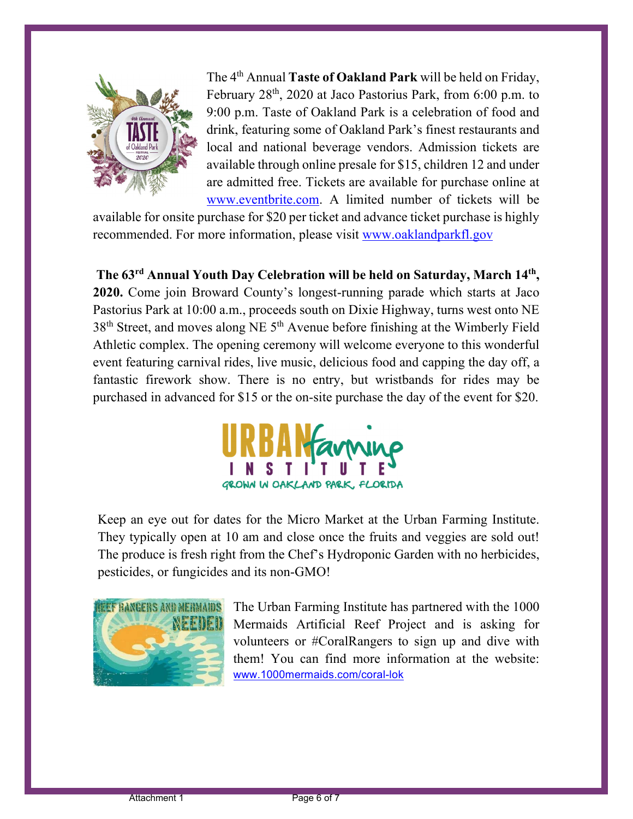

The 4th Annual **Taste of Oakland Park** will be held on Friday, February 28<sup>th</sup>, 2020 at Jaco Pastorius Park, from 6:00 p.m. to 9:00 p.m. Taste of Oakland Park is a celebration of food and drink, featuring some of Oakland Park's finest restaurants and local and national beverage vendors. Admission tickets are available through online presale for \$15, children 12 and under are admitted free. Tickets are available for purchase online at www.eventbrite.com. A limited number of tickets will be

available for onsite purchase for \$20 per ticket and advance ticket purchase is highly recommended. For more information, please visit www.oaklandparkfl.gov

 **The 63rd Annual Youth Day Celebration will be held on Saturday, March 14th , 2020.** Come join Broward County's longest-running parade which starts at Jaco Pastorius Park at 10:00 a.m., proceeds south on Dixie Highway, turns west onto NE 38<sup>th</sup> Street, and moves along NE 5<sup>th</sup> Avenue before finishing at the Wimberly Field Athletic complex. The opening ceremony will welcome everyone to this wonderful event featuring carnival rides, live music, delicious food and capping the day off, a fantastic firework show. There is no entry, but wristbands for rides may be purchased in advanced for \$15 or the on-site purchase the day of the event for \$20.



Keep an eye out for dates for the Micro Market at the Urban Farming Institute. They typically open at 10 am and close once the fruits and veggies are sold out! The produce is fresh right from the Chef's Hydroponic Garden with no herbicides, pesticides, or fungicides and its non-GMO!



The Urban Farming Institute has partnered with the 1000 Mermaids Artificial Reef Project and is asking for volunteers or #CoralRangers to sign up and dive with them! You can find more information at the website: www.1000mermaids.com/coral-lok